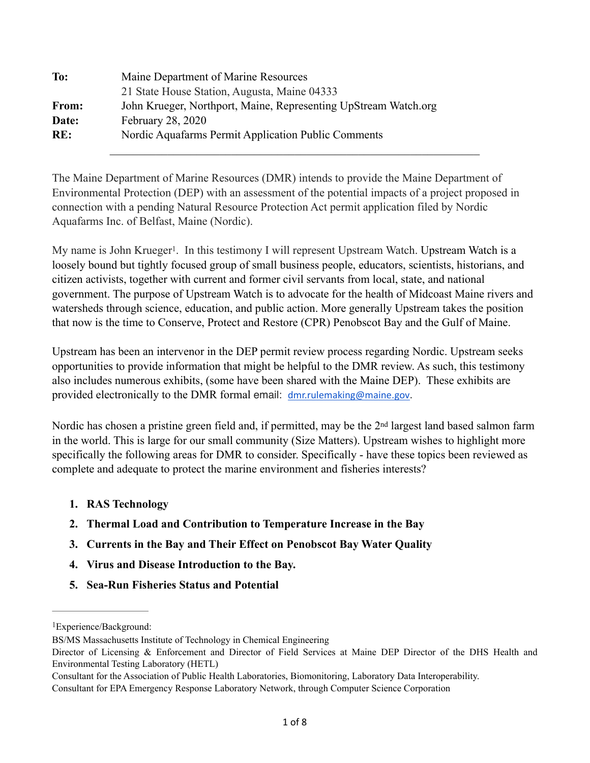| To:          | Maine Department of Marine Resources                            |
|--------------|-----------------------------------------------------------------|
|              | 21 State House Station, Augusta, Maine 04333                    |
| <b>From:</b> | John Krueger, Northport, Maine, Representing UpStream Watch.org |
| Date:        | <b>February 28, 2020</b>                                        |
| RE:          | Nordic Aquafarms Permit Application Public Comments             |
|              |                                                                 |

The Maine Department of Marine Resources (DMR) intends to provide the Maine Department of Environmental Protection (DEP) with an assessment of the potential impacts of a project proposed in connection with a pending Natural Resource Protection Act permit application filed by Nordic Aquafarms Inc. of Belfast, Maine (Nordic).

<span id="page-0-1"></span>My name is John Krueger<sup>1</sup>[.](#page-0-0) In this testimony I will represent Upstream Watch. Upstream Watch is a loosely bound but tightly focused group of small business people, educators, scientists, historians, and citizen activists, together with current and former civil servants from local, state, and national government. The purpose of Upstream Watch is to advocate for the health of Midcoast Maine rivers and watersheds through science, education, and public action. More generally Upstream takes the position that now is the time to Conserve, Protect and Restore (CPR) Penobscot Bay and the Gulf of Maine.

Upstream has been an intervenor in the DEP permit review process regarding Nordic. Upstream seeks opportunities to provide information that might be helpful to the DMR review. As such, this testimony also includes numerous exhibits, (some have been shared with the Maine DEP). These exhibits are provided electronically to the DMR formal email: [dmr.rulemaking@maine.gov](mailto:dmr.rulemaking@maine.gov).

Nordic has chosen a pristine green field and, if permitted, may be the 2<sup>nd</sup> largest land based salmon farm in the world. This is large for our small community (Size Matters). Upstream wishes to highlight more specifically the following areas for DMR to consider. Specifically - have these topics been reviewed as complete and adequate to protect the marine environment and fisheries interests?

- **1. RAS Technology**
- **2. Thermal Load and Contribution to Temperature Increase in the Bay**
- **3. Currents in the Bay and Their Effect on Penobscot Bay Water Quality**
- **4. Virus and Disease Introduction to the Bay.**
- **5. Sea-Run Fisheries Status and Potential**

<span id="page-0-0"></span><sup>&</sup>lt;sup>[1](#page-0-1)</sup>Experience/Background:

BS/MS Massachusetts Institute of Technology in Chemical Engineering

Director of Licensing & Enforcement and Director of Field Services at Maine DEP Director of the DHS Health and Environmental Testing Laboratory (HETL)

Consultant for the Association of Public Health Laboratories, Biomonitoring, Laboratory Data Interoperability.

Consultant for EPA Emergency Response Laboratory Network, through Computer Science Corporation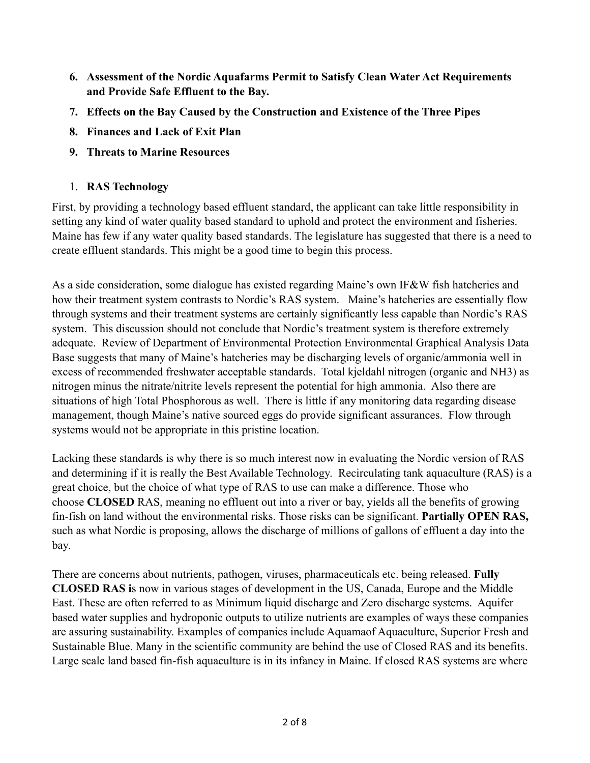- **6. Assessment of the Nordic Aquafarms Permit to Satisfy Clean Water Act Requirements and Provide Safe Effluent to the Bay.**
- **7. Effects on the Bay Caused by the Construction and Existence of the Three Pipes**
- **8. Finances and Lack of Exit Plan**
- **9. Threats to Marine Resources**

## 1. **RAS Technology**

First, by providing a technology based effluent standard, the applicant can take little responsibility in setting any kind of water quality based standard to uphold and protect the environment and fisheries. Maine has few if any water quality based standards. The legislature has suggested that there is a need to create effluent standards. This might be a good time to begin this process.

As a side consideration, some dialogue has existed regarding Maine's own IF&W fish hatcheries and how their treatment system contrasts to Nordic's RAS system. Maine's hatcheries are essentially flow through systems and their treatment systems are certainly significantly less capable than Nordic's RAS system. This discussion should not conclude that Nordic's treatment system is therefore extremely adequate. Review of Department of Environmental Protection Environmental Graphical Analysis Data Base suggests that many of Maine's hatcheries may be discharging levels of organic/ammonia well in excess of recommended freshwater acceptable standards. Total kjeldahl nitrogen (organic and NH3) as nitrogen minus the nitrate/nitrite levels represent the potential for high ammonia. Also there are situations of high Total Phosphorous as well. There is little if any monitoring data regarding disease management, though Maine's native sourced eggs do provide significant assurances. Flow through systems would not be appropriate in this pristine location.

Lacking these standards is why there is so much interest now in evaluating the Nordic version of RAS and determining if it is really the Best Available Technology. Recirculating tank aquaculture (RAS) is a great choice, but the choice of what type of RAS to use can make a difference. Those who choose **CLOSED** RAS, meaning no effluent out into a river or bay, yields all the benefits of growing fin-fish on land without the environmental risks. Those risks can be significant. **Partially OPEN RAS,**  such as what Nordic is proposing, allows the discharge of millions of gallons of effluent a day into the bay.

There are concerns about nutrients, pathogen, viruses, pharmaceuticals etc. being released. **Fully CLOSED RAS i**s now in various stages of development in the US, Canada, Europe and the Middle East. These are often referred to as Minimum liquid discharge and Zero discharge systems. Aquifer based water supplies and hydroponic outputs to utilize nutrients are examples of ways these companies are assuring sustainability. Examples of companies include Aquamaof Aquaculture, Superior Fresh and Sustainable Blue. Many in the scientific community are behind the use of Closed RAS and its benefits. Large scale land based fin-fish aquaculture is in its infancy in Maine. If closed RAS systems are where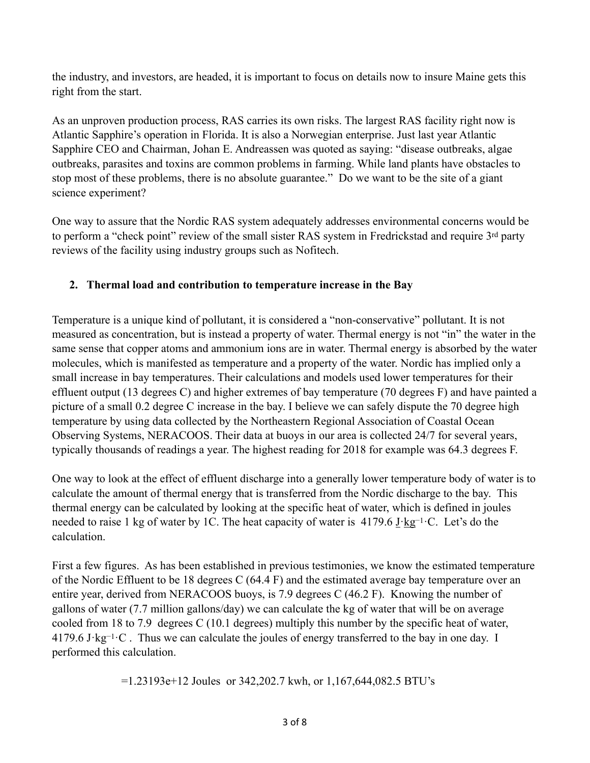the industry, and investors, are headed, it is important to focus on details now to insure Maine gets this right from the start.

As an unproven production process, RAS carries its own risks. The largest RAS facility right now is Atlantic Sapphire's operation in Florida. It is also a Norwegian enterprise. Just last year Atlantic Sapphire CEO and Chairman, Johan E. Andreassen was quoted as saying: "disease outbreaks, algae outbreaks, parasites and toxins are common problems in farming. While land plants have obstacles to stop most of these problems, there is no absolute guarantee." Do we want to be the site of a giant science experiment?

One way to assure that the Nordic RAS system adequately addresses environmental concerns would be to perform a "check point" review of the small sister RAS system in Fredrickstad and require 3rd party reviews of the facility using industry groups such as Nofitech.

## **2. Thermal load and contribution to temperature increase in the Bay**

Temperature is a unique kind of pollutant, it is considered a "non-conservative" pollutant. It is not measured as concentration, but is instead a property of water. Thermal energy is not "in" the water in the same sense that copper atoms and ammonium ions are in water. Thermal energy is absorbed by the water molecules, which is manifested as temperature and a property of the water. Nordic has implied only a small increase in bay temperatures. Their calculations and models used lower temperatures for their effluent output (13 degrees C) and higher extremes of bay temperature (70 degrees F) and have painted a picture of a small 0.2 degree C increase in the bay. I believe we can safely dispute the 70 degree high temperature by using data collected by the Northeastern Regional Association of Coastal Ocean Observing Systems, [NERACOOS.](http://www.neracoos.org/datatools) Their data at buoys in our area is collected 24/7 for several years, typically thousands of readings a year. The highest reading for 2018 for example was 64.3 degrees F.

One way to look at the effect of effluent discharge into a generally lower temperature body of water is to calculate the amount of thermal energy that is transferred from the Nordic discharge to the bay. This thermal energy can be calculated by looking at the specific heat of water, which is defined in joules needed to raise 1 kg of water by 1C. The heat capacity of water is 4179.6 [J](https://en.wikipedia.org/wiki/Joule)·[kg](https://en.wikipedia.org/wiki/Kilogram)<sup>-1</sup>·C. Let's do the calculation.

First a few figures. As has been established in previous testimonies, we know the estimated temperature of the Nordic Effluent to be 18 degrees C (64.4 F) and the estimated average bay temperature over an entire year, derived from [NERACOOS](http://www.neracoos.org/datatools) buoys, is 7.9 degrees C (46.2 F). Knowing the number of gallons of water (7.7 million gallons/day) we can calculate the kg of water that will be on average cooled from 18 to 7.9 degrees C (10.1 degrees) multiply this number by the specific heat of water, 4179.6 [J](https://en.wikipedia.org/wiki/Joule)·[kg](https://en.wikipedia.org/wiki/Kilogram)−1·C . Thus we can calculate the joules of energy transferred to the bay in one day. I performed this calculation.

=1.23193e+12 Joules or 342,202.7 kwh, or 1,167,644,082.5 BTU's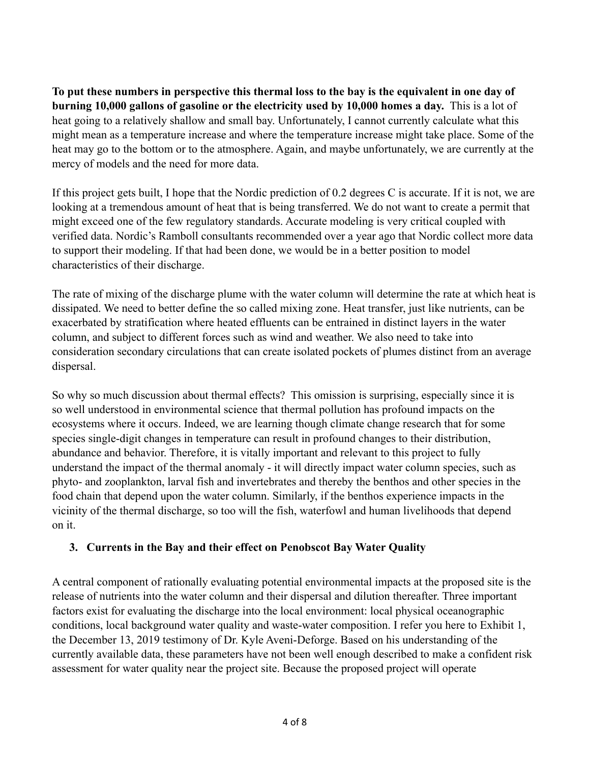**To put these numbers in perspective this thermal loss to the bay is the equivalent in one day of burning 10,000 gallons of gasoline or the electricity used by 10,000 homes a day.** This is a lot of heat going to a relatively shallow and small bay. Unfortunately, I cannot currently calculate what this might mean as a temperature increase and where the temperature increase might take place. Some of the heat may go to the bottom or to the atmosphere. Again, and maybe unfortunately, we are currently at the mercy of models and the need for more data.

If this project gets built, I hope that the Nordic prediction of 0.2 degrees C is accurate. If it is not, we are looking at a tremendous amount of heat that is being transferred. We do not want to create a permit that might exceed one of the few regulatory standards. Accurate modeling is very critical coupled with verified data. Nordic's Ramboll consultants recommended over a year ago that Nordic collect more data to support their modeling. If that had been done, we would be in a better position to model characteristics of their discharge.

The rate of mixing of the discharge plume with the water column will determine the rate at which heat is dissipated. We need to better define the so called mixing zone. Heat transfer, just like nutrients, can be exacerbated by stratification where heated effluents can be entrained in distinct layers in the water column, and subject to different forces such as wind and weather. We also need to take into consideration secondary circulations that can create isolated pockets of plumes distinct from an average dispersal.

So why so much discussion about thermal effects? This omission is surprising, especially since it is so well understood in environmental science that thermal pollution has profound impacts on the ecosystems where it occurs. Indeed, we are learning though climate change research that for some species single-digit changes in temperature can result in profound changes to their distribution, abundance and behavior. Therefore, it is vitally important and relevant to this project to fully understand the impact of the thermal anomaly - it will directly impact water column species, such as phyto- and zooplankton, larval fish and invertebrates and thereby the benthos and other species in the food chain that depend upon the water column. Similarly, if the benthos experience impacts in the vicinity of the thermal discharge, so too will the fish, waterfowl and human livelihoods that depend on it.

## **3. Currents in the Bay and their effect on Penobscot Bay Water Quality**

A central component of rationally evaluating potential environmental impacts at the proposed site is the release of nutrients into the water column and their dispersal and dilution thereafter. Three important factors exist for evaluating the discharge into the local environment: local physical oceanographic conditions, local background water quality and waste-water composition. I refer you here to Exhibit 1, the December 13, 2019 testimony of Dr. Kyle Aveni-Deforge. Based on his understanding of the currently available data, these parameters have not been well enough described to make a confident risk assessment for water quality near the project site. Because the proposed project will operate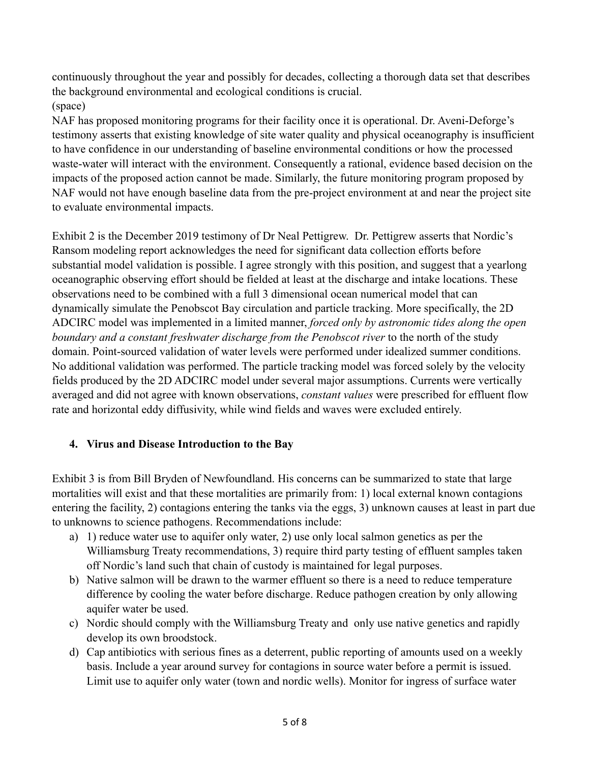continuously throughout the year and possibly for decades, collecting a thorough data set that describes the background environmental and ecological conditions is crucial. (space)

NAF has proposed monitoring programs for their facility once it is operational. Dr. Aveni-Deforge's testimony asserts that existing knowledge of site water quality and physical oceanography is insufficient to have confidence in our understanding of baseline environmental conditions or how the processed waste-water will interact with the environment. Consequently a rational, evidence based decision on the impacts of the proposed action cannot be made. Similarly, the future monitoring program proposed by NAF would not have enough baseline data from the pre-project environment at and near the project site to evaluate environmental impacts.

Exhibit 2 is the December 2019 testimony of Dr Neal Pettigrew. Dr. Pettigrew asserts that Nordic's Ransom modeling report acknowledges the need for significant data collection efforts before substantial model validation is possible. I agree strongly with this position, and suggest that a yearlong oceanographic observing effort should be fielded at least at the discharge and intake locations. These observations need to be combined with a full 3 dimensional ocean numerical model that can dynamically simulate the Penobscot Bay circulation and particle tracking. More specifically, the 2D ADCIRC model was implemented in a limited manner, *forced only by astronomic tides along the open boundary and a constant freshwater discharge from the Penobscot river* to the north of the study domain. Point-sourced validation of water levels were performed under idealized summer conditions. No additional validation was performed. The particle tracking model was forced solely by the velocity fields produced by the 2D ADCIRC model under several major assumptions. Currents were vertically averaged and did not agree with known observations, *constant values* were prescribed for effluent flow rate and horizontal eddy diffusivity, while wind fields and waves were excluded entirely.

## **4. Virus and Disease Introduction to the Bay**

Exhibit 3 is from Bill Bryden of Newfoundland. His concerns can be summarized to state that large mortalities will exist and that these mortalities are primarily from: 1) local external known contagions entering the facility, 2) contagions entering the tanks via the eggs, 3) unknown causes at least in part due to unknowns to science pathogens. Recommendations include:

- a) 1) reduce water use to aquifer only water, 2) use only local salmon genetics as per the Williamsburg Treaty recommendations, 3) require third party testing of effluent samples taken off Nordic's land such that chain of custody is maintained for legal purposes.
- b) Native salmon will be drawn to the warmer effluent so there is a need to reduce temperature difference by cooling the water before discharge. Reduce pathogen creation by only allowing aquifer water be used.
- c) Nordic should comply with the Williamsburg Treaty and only use native genetics and rapidly develop its own broodstock.
- d) Cap antibiotics with serious fines as a deterrent, public reporting of amounts used on a weekly basis. Include a year around survey for contagions in source water before a permit is issued. Limit use to aquifer only water (town and nordic wells). Monitor for ingress of surface water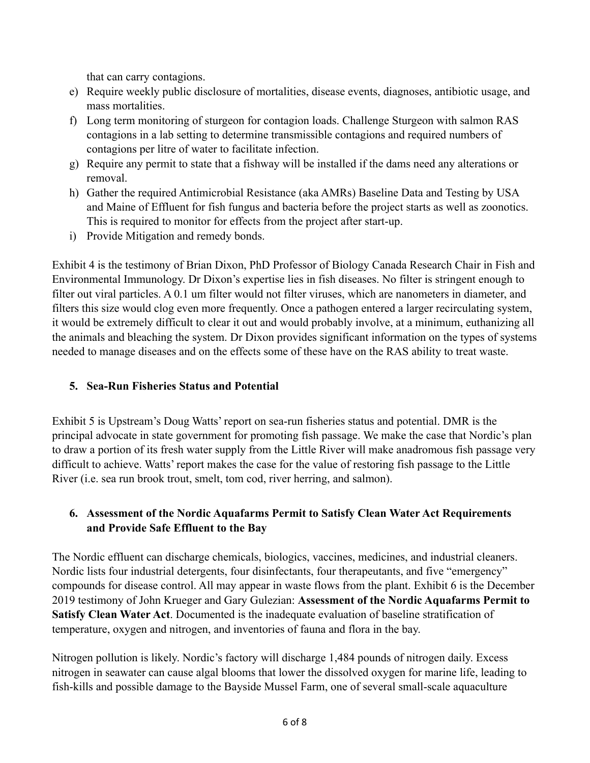that can carry contagions.

- e) Require weekly public disclosure of mortalities, disease events, diagnoses, antibiotic usage, and mass mortalities.
- f) Long term monitoring of sturgeon for contagion loads. Challenge Sturgeon with salmon RAS contagions in a lab setting to determine transmissible contagions and required numbers of contagions per litre of water to facilitate infection.
- g) Require any permit to state that a fishway will be installed if the dams need any alterations or removal.
- h) Gather the required Antimicrobial Resistance (aka AMRs) Baseline Data and Testing by USA and Maine of Effluent for fish fungus and bacteria before the project starts as well as zoonotics. This is required to monitor for effects from the project after start-up.
- i) Provide Mitigation and remedy bonds.

Exhibit 4 is the testimony of Brian Dixon, PhD Professor of Biology Canada Research Chair in Fish and Environmental Immunology. Dr Dixon's expertise lies in fish diseases. No filter is stringent enough to filter out viral particles. A 0.1 um filter would not filter viruses, which are nanometers in diameter, and filters this size would clog even more frequently. Once a pathogen entered a larger recirculating system, it would be extremely difficult to clear it out and would probably involve, at a minimum, euthanizing all the animals and bleaching the system. Dr Dixon provides significant information on the types of systems needed to manage diseases and on the effects some of these have on the RAS ability to treat waste.

# **5. Sea-Run Fisheries Status and Potential**

Exhibit 5 is Upstream's Doug Watts' report on sea-run fisheries status and potential. DMR is the principal advocate in state government for promoting fish passage. We make the case that Nordic's plan to draw a portion of its fresh water supply from the Little River will make anadromous fish passage very difficult to achieve. Watts' report makes the case for the value of restoring fish passage to the Little River (i.e. sea run brook trout, smelt, tom cod, river herring, and salmon).

## **6. Assessment of the Nordic Aquafarms Permit to Satisfy Clean Water Act Requirements and Provide Safe Effluent to the Bay**

The Nordic effluent can discharge chemicals, biologics, vaccines, medicines, and industrial cleaners. Nordic lists four industrial detergents, four disinfectants, four therapeutants, and five "emergency" compounds for disease control. All may appear in waste flows from the plant. Exhibit 6 is the December 2019 testimony of John Krueger and Gary Gulezian: **Assessment of the Nordic Aquafarms Permit to Satisfy Clean Water Act**. Documented is the inadequate evaluation of baseline stratification of temperature, oxygen and nitrogen, and inventories of fauna and flora in the bay.

Nitrogen pollution is likely. Nordic's factory will discharge 1,484 pounds of nitrogen daily. Excess nitrogen in seawater can cause algal blooms that lower the dissolved oxygen for marine life, leading to fish-kills and possible damage to the Bayside Mussel Farm, one of several small-scale aquaculture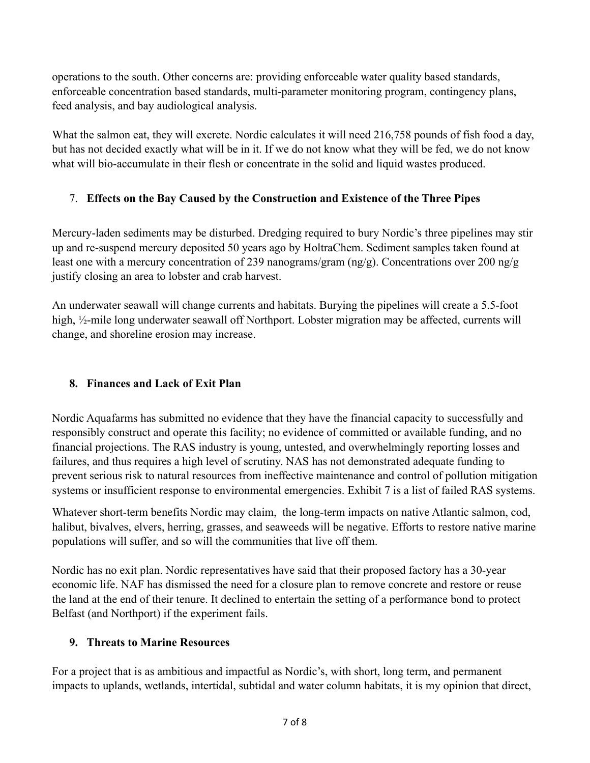operations to the south. Other concerns are: providing enforceable water quality based standards, enforceable concentration based standards, multi-parameter monitoring program, contingency plans, feed analysis, and bay audiological analysis.

What the salmon eat, they will excrete. Nordic calculates it will need 216,758 pounds of fish food a day, but has not decided exactly what will be in it. If we do not know what they will be fed, we do not know what will bio-accumulate in their flesh or concentrate in the solid and liquid wastes produced.

## 7. **Effects on the Bay Caused by the Construction and Existence of the Three Pipes**

Mercury-laden sediments may be disturbed. Dredging required to bury Nordic's three pipelines may stir up and re-suspend mercury deposited 50 years ago by HoltraChem. Sediment samples taken found at least one with a mercury concentration of 239 nanograms/gram (ng/g). Concentrations over 200 ng/g justify closing an area to lobster and crab harvest.

An underwater seawall will change currents and habitats. Burying the pipelines will create a 5.5-foot high, <sup>1</sup>/<sub>2</sub>-mile long underwater seawall off Northport. Lobster migration may be affected, currents will change, and shoreline erosion may increase.

## **8. Finances and Lack of Exit Plan**

Nordic Aquafarms has submitted no evidence that they have the financial capacity to successfully and responsibly construct and operate this facility; no evidence of committed or available funding, and no financial projections. The RAS industry is young, untested, and overwhelmingly reporting losses and failures, and thus requires a high level of scrutiny. NAS has not demonstrated adequate funding to prevent serious risk to natural resources from ineffective maintenance and control of pollution mitigation systems or insufficient response to environmental emergencies. Exhibit 7 is a list of failed RAS systems.

Whatever short-term benefits Nordic may claim, the long-term impacts on native Atlantic salmon, cod, halibut, bivalves, elvers, herring, grasses, and seaweeds will be negative. Efforts to restore native marine populations will suffer, and so will the communities that live off them.

Nordic has no exit plan. Nordic representatives have said that their proposed factory has a 30-year economic life. NAF has dismissed the need for a closure plan to remove concrete and restore or reuse the land at the end of their tenure. It declined to entertain the setting of a performance bond to protect Belfast (and Northport) if the experiment fails.

## **9. Threats to Marine Resources**

For a project that is as ambitious and impactful as Nordic's, with short, long term, and permanent impacts to uplands, wetlands, intertidal, subtidal and water column habitats, it is my opinion that direct,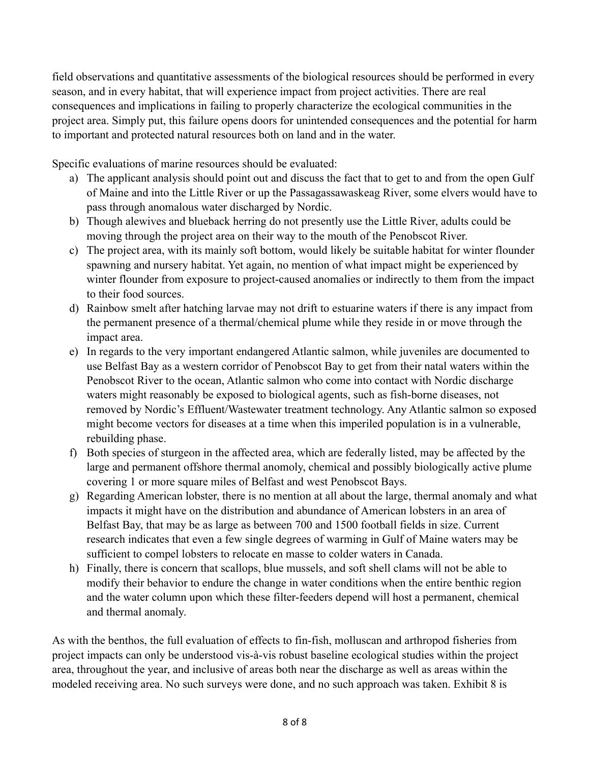field observations and quantitative assessments of the biological resources should be performed in every season, and in every habitat, that will experience impact from project activities. There are real consequences and implications in failing to properly characterize the ecological communities in the project area. Simply put, this failure opens doors for unintended consequences and the potential for harm to important and protected natural resources both on land and in the water.

Specific evaluations of marine resources should be evaluated:

- a) The applicant analysis should point out and discuss the fact that to get to and from the open Gulf of Maine and into the Little River or up the Passagassawaskeag River, some elvers would have to pass through anomalous water discharged by Nordic.
- b) Though alewives and blueback herring do not presently use the Little River, adults could be moving through the project area on their way to the mouth of the Penobscot River.
- c) The project area, with its mainly soft bottom, would likely be suitable habitat for winter flounder spawning and nursery habitat. Yet again, no mention of what impact might be experienced by winter flounder from exposure to project-caused anomalies or indirectly to them from the impact to their food sources.
- d) Rainbow smelt after hatching larvae may not drift to estuarine waters if there is any impact from the permanent presence of a thermal/chemical plume while they reside in or move through the impact area.
- e) In regards to the very important endangered Atlantic salmon, while juveniles are documented to use Belfast Bay as a western corridor of Penobscot Bay to get from their natal waters within the Penobscot River to the ocean, Atlantic salmon who come into contact with Nordic discharge waters might reasonably be exposed to biological agents, such as fish-borne diseases, not removed by Nordic's Effluent/Wastewater treatment technology. Any Atlantic salmon so exposed might become vectors for diseases at a time when this imperiled population is in a vulnerable, rebuilding phase.
- f) Both species of sturgeon in the affected area, which are federally listed, may be affected by the large and permanent offshore thermal anomoly, chemical and possibly biologically active plume covering 1 or more square miles of Belfast and west Penobscot Bays.
- g) Regarding American lobster, there is no mention at all about the large, thermal anomaly and what impacts it might have on the distribution and abundance of American lobsters in an area of Belfast Bay, that may be as large as between 700 and 1500 football fields in size. Current research indicates that even a few single degrees of warming in Gulf of Maine waters may be sufficient to compel lobsters to relocate en masse to colder waters in Canada.
- h) Finally, there is concern that scallops, blue mussels, and soft shell clams will not be able to modify their behavior to endure the change in water conditions when the entire benthic region and the water column upon which these filter-feeders depend will host a permanent, chemical and thermal anomaly.

As with the benthos, the full evaluation of effects to fin-fish, molluscan and arthropod fisheries from project impacts can only be understood vis-à-vis robust baseline ecological studies within the project area, throughout the year, and inclusive of areas both near the discharge as well as areas within the modeled receiving area. No such surveys were done, and no such approach was taken. Exhibit 8 is